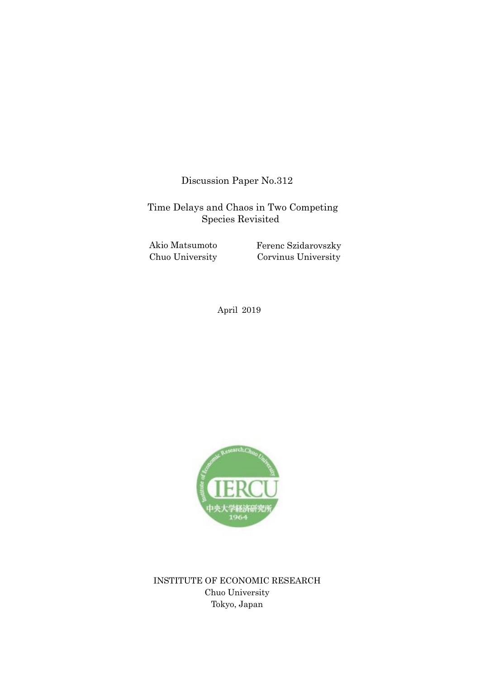Discussion Paper No.312

Time Delays and Chaos in Two Competing Species Revisited

 Chuo University Akio Matsumoto Ferenc Szidarovszky Corvinus University

April 2019



INSTITUTE OF ECONOMIC RESEARCH Chuo University Tokyo, Japan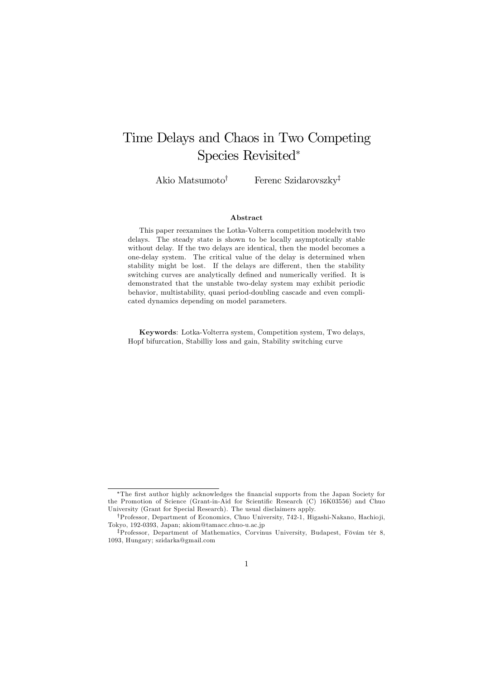# Time Delays and Chaos in Two Competing Species Revisited<sup>∗</sup>

Akio Matsumoto† Ferenc Szidarovszky‡

#### Abstract

This paper reexamines the Lotka-Volterra competition modelwith two delays. The steady state is shown to be locally asymptotically stable without delay. If the two delays are identical, then the model becomes a one-delay system. The critical value of the delay is determined when stability might be lost. If the delays are different, then the stability switching curves are analytically defined and numerically verified. It is demonstrated that the unstable two-delay system may exhibit periodic behavior, multistability, quasi period-doubling cascade and even complicated dynamics depending on model parameters.

Keywords: Lotka-Volterra system, Competition system, Two delays, Hopf bifurcation, Stabilliy loss and gain, Stability switching curve

<sup>∗</sup>The first author highly acknowledges the financial supports from the Japan Society for the Promotion of Science (Grant-in-Aid for Scientific Research (C) 16K03556) and Chuo University (Grant for Special Research). The usual disclaimers apply.

<sup>†</sup>Professor, Department of Economics, Chuo University, 742-1, Higashi-Nakano, Hachioji, Tokyo, 192-0393, Japan; akiom@tamacc.chuo-u.ac.jp

<sup>‡</sup>Professor, Department of Mathematics, Corvinus University, Budapest, Fövám tér 8, 1093, Hungary; szidarka@gmail.com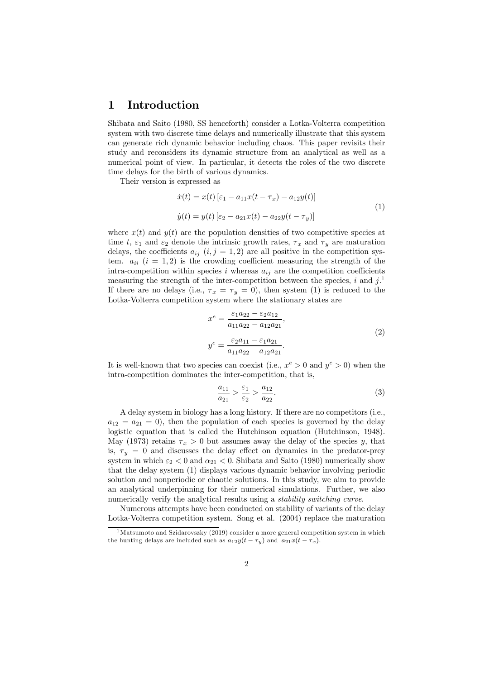## 1 Introduction

Shibata and Saito (1980, SS henceforth) consider a Lotka-Volterra competition system with two discrete time delays and numerically illustrate that this system can generate rich dynamic behavior including chaos. This paper revisits their study and reconsiders its dynamic structure from an analytical as well as a numerical point of view. In particular, it detects the roles of the two discrete time delays for the birth of various dynamics.

Their version is expressed as

$$
\begin{aligned} \dot{x}(t) &= x(t) \left[ \varepsilon_1 - a_{11} x(t - \tau_x) - a_{12} y(t) \right] \\ \dot{y}(t) &= y(t) \left[ \varepsilon_2 - a_{21} x(t) - a_{22} y(t - \tau_y) \right] \end{aligned} \tag{1}
$$

where  $x(t)$  and  $y(t)$  are the population densities of two competitive species at time t,  $\varepsilon_1$  and  $\varepsilon_2$  denote the intrinsic growth rates,  $\tau_x$  and  $\tau_y$  are maturation delays, the coefficients  $a_{ij}$   $(i, j = 1, 2)$  are all positive in the competition system.  $a_{ii}$   $(i = 1, 2)$  is the crowding coefficient measuring the strength of the intra-competition within species i whereas  $a_{ij}$  are the competition coefficients measuring the strength of the inter-competition between the species,  $i$  and  $j$ .<sup>1</sup> If there are no delays (i.e.,  $\tau_x = \tau_y = 0$ ), then system (1) is reduced to the Lotka-Volterra competition system where the stationary states are

$$
x^{e} = \frac{\varepsilon_{1}a_{22} - \varepsilon_{2}a_{12}}{a_{11}a_{22} - a_{12}a_{21}},
$$
  

$$
y^{e} = \frac{\varepsilon_{2}a_{11} - \varepsilon_{1}a_{21}}{a_{11}a_{22} - a_{12}a_{21}}.
$$
 (2)

It is well-known that two species can coexist (i.e.,  $x^e > 0$  and  $y^e > 0$ ) when the intra-competition dominates the inter-competition, that is,

$$
\frac{a_{11}}{a_{21}} > \frac{\varepsilon_1}{\varepsilon_2} > \frac{a_{12}}{a_{22}}.
$$
 (3)

A delay system in biology has a long history. If there are no competitors (i.e.,  $a_{12} = a_{21} = 0$ , then the population of each species is governed by the delay logistic equation that is called the Hutchinson equation (Hutchinson, 1948). May (1973) retains  $\tau_x > 0$  but assumes away the delay of the species y, that is,  $\tau_y = 0$  and discusses the delay effect on dynamics in the predator-prey system in which  $\varepsilon_2 < 0$  and  $\alpha_{21} < 0$ . Shibata and Saito (1980) numerically show that the delay system (1) displays various dynamic behavior involving periodic solution and nonperiodic or chaotic solutions. In this study, we aim to provide an analytical underpinning for their numerical simulations. Further, we also numerically verify the analytical results using a *stability switching curve*.

Numerous attempts have been conducted on stability of variants of the delay Lotka-Volterra competition system. Song et al. (2004) replace the maturation

<sup>&</sup>lt;sup>1</sup>Matsumoto and Szidarovszky (2019) consider a more general competition system in which the hunting delays are included such as  $a_{12}y(t - \tau_y)$  and  $a_{21}x(t - \tau_x)$ .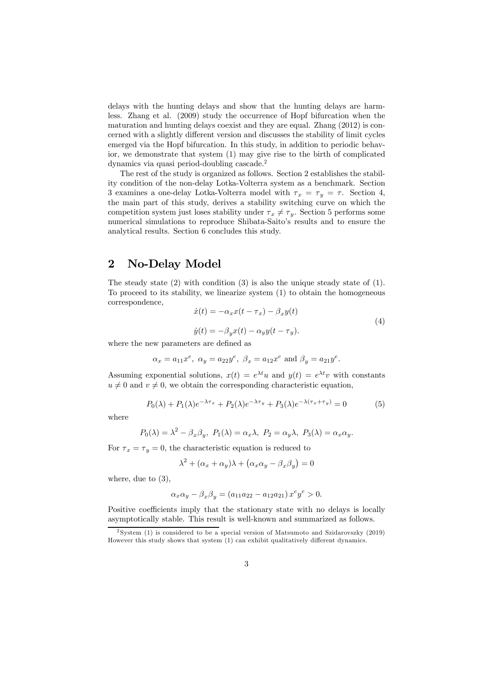delays with the hunting delays and show that the hunting delays are harmless. Zhang et al. (2009) study the occurrence of Hopf bifurcation when the maturation and hunting delays coexist and they are equal. Zhang (2012) is concerned with a slightly different version and discusses the stability of limit cycles emerged via the Hopf bifurcation. In this study, in addition to periodic behavior, we demonstrate that system (1) may give rise to the birth of complicated dynamics via quasi period-doubling cascade.<sup>2</sup>

The rest of the study is organized as follows. Section 2 establishes the stability condition of the non-delay Lotka-Volterra system as a benchmark. Section 3 examines a one-delay Lotka-Volterra model with  $\tau_x = \tau_y = \tau$ . Section 4, the main part of this study, derives a stability switching curve on which the competition system just loses stability under  $\tau_x \neq \tau_y$ . Section 5 performs some numerical simulations to reproduce Shibata-Saito's results and to ensure the analytical results. Section 6 concludes this study.

## 2 No-Delay Model

The steady state  $(2)$  with condition  $(3)$  is also the unique steady state of  $(1)$ . To proceed to its stability, we linearize system (1) to obtain the homogeneous correspondence,

$$
\begin{aligned} \dot{x}(t) &= -\alpha_x x(t - \tau_x) - \beta_x y(t) \\ \dot{y}(t) &= -\beta_y x(t) - \alpha_y y(t - \tau_y). \end{aligned} \tag{4}
$$

where the new parameters are defined as

$$
\alpha_x = a_{11} x^e, \ \alpha_y = a_{22} y^e, \ \beta_x = a_{12} x^e \text{ and } \beta_y = a_{21} y^e.
$$

Assuming exponential solutions,  $x(t) = e^{\lambda t}u$  and  $y(t) = e^{\lambda t}v$  with constants  $u \neq 0$  and  $v \neq 0$ , we obtain the corresponding characteristic equation,

$$
P_0(\lambda) + P_1(\lambda)e^{-\lambda \tau_x} + P_2(\lambda)e^{-\lambda \tau_y} + P_3(\lambda)e^{-\lambda(\tau_x + \tau_y)} = 0
$$
\n<sup>(5)</sup>

where

$$
P_0(\lambda) = \lambda^2 - \beta_x \beta_y
$$
,  $P_1(\lambda) = \alpha_x \lambda$ ,  $P_2 = \alpha_y \lambda$ ,  $P_3(\lambda) = \alpha_x \alpha_y$ .

For  $\tau_x = \tau_y = 0$ , the characteristic equation is reduced to

$$
\lambda^{2} + (\alpha_{x} + \alpha_{y})\lambda + (\alpha_{x}\alpha_{y} - \beta_{x}\beta_{y}) = 0
$$

where, due to (3),

$$
\alpha_x \alpha_y - \beta_x \beta_y = (a_{11} a_{22} - a_{12} a_{21}) x^e y^e > 0.
$$

Positive coefficients imply that the stationary state with no delays is locally asymptotically stable. This result is well-known and summarized as follows.

<sup>2</sup> System (1) is considered to be a special version of Matsumoto and Szidarovszky (2019) However this study shows that system (1) can exhibit qualitatively different dynamics.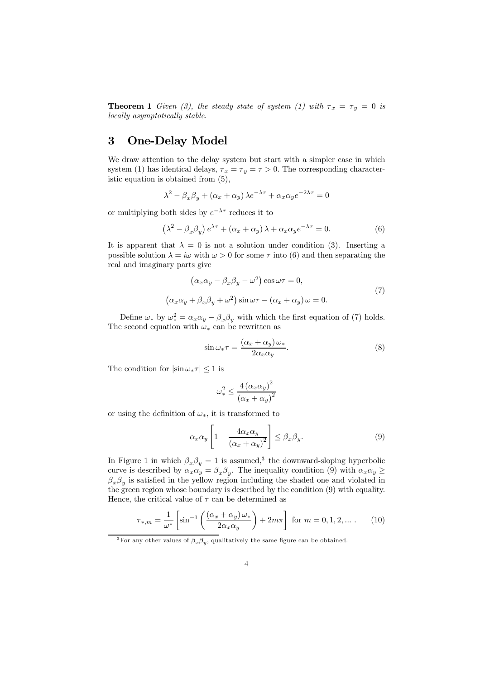**Theorem 1** Given (3), the steady state of system (1) with  $\tau_x = \tau_y = 0$  is locally asymptotically stable.

## 3 One-Delay Model

We draw attention to the delay system but start with a simpler case in which system (1) has identical delays,  $\tau_x = \tau_y = \tau > 0$ . The corresponding characteristic equation is obtained from (5),

$$
\lambda^{2} - \beta_{x}\beta_{y} + (\alpha_{x} + \alpha_{y})\lambda e^{-\lambda\tau} + \alpha_{x}\alpha_{y}e^{-2\lambda\tau} = 0
$$

or multiplying both sides by  $e^{-\lambda \tau}$  reduces it to

$$
(\lambda^2 - \beta_x \beta_y) e^{\lambda \tau} + (\alpha_x + \alpha_y) \lambda + \alpha_x \alpha_y e^{-\lambda \tau} = 0.
$$
 (6)

It is apparent that  $\lambda = 0$  is not a solution under condition (3). Inserting a possible solution  $\lambda = i\omega$  with  $\omega > 0$  for some  $\tau$  into (6) and then separating the real and imaginary parts give

$$
\left(\alpha_x \alpha_y - \beta_x \beta_y - \omega^2\right) \cos \omega \tau = 0,
$$
  

$$
\left(\alpha_x \alpha_y + \beta_x \beta_y + \omega^2\right) \sin \omega \tau - \left(\alpha_x + \alpha_y\right) \omega = 0.
$$
 (7)

Define  $\omega_*$  by  $\omega_*^2 = \alpha_x \alpha_y - \beta_x \beta_y$  with which the first equation of (7) holds. The second equation with  $\omega_*$  can be rewritten as

$$
\sin \omega_* \tau = \frac{(\alpha_x + \alpha_y)\,\omega_*}{2\alpha_x \alpha_y}.\tag{8}
$$

The condition for  $|\sin \omega_* \tau| \leq 1$  is

$$
\omega_*^2 \le \frac{4\left(\alpha_x \alpha_y\right)^2}{\left(\alpha_x + \alpha_y\right)^2}
$$

or using the definition of  $\omega_*$ , it is transformed to

$$
\alpha_x \alpha_y \left[ 1 - \frac{4\alpha_x \alpha_y}{\left(\alpha_x + \alpha_y\right)^2} \right] \le \beta_x \beta_y. \tag{9}
$$

In Figure 1 in which  $\beta_x \beta_y = 1$  is assumed,<sup>3</sup> the downward-sloping hyperbolic curve is described by  $\alpha_x \alpha_y = \beta_x \beta_y$ . The inequality condition (9) with  $\alpha_x \alpha_y \ge$  $\beta_x \beta_y$  is satisfied in the yellow region including the shaded one and violated in the green region whose boundary is described by the condition (9) with equality. Hence, the critical value of  $\tau$  can be determined as

$$
\tau_{*,m} = \frac{1}{\omega^*} \left[ \sin^{-1} \left( \frac{(\alpha_x + \alpha_y)\,\omega_*}{2\alpha_x \alpha_y} \right) + 2m\pi \right] \text{ for } m = 0, 1, 2, \dots \,. \tag{10}
$$

<sup>&</sup>lt;sup>3</sup>For any other values of  $\beta_x \beta_y$ , qualitatively the same figure can be obtained.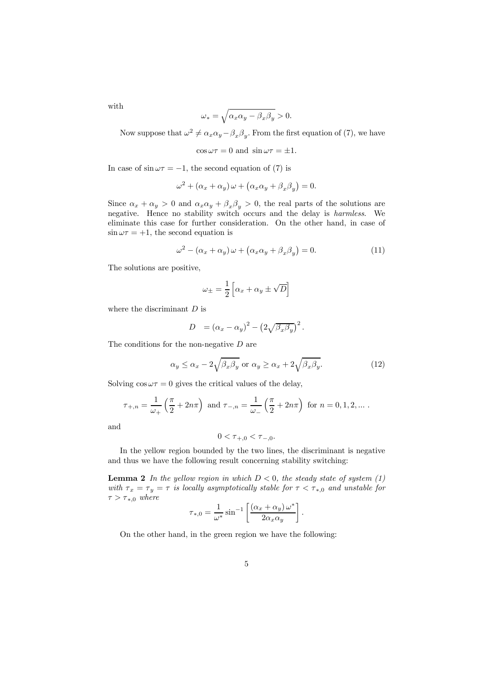with

$$
\omega_* = \sqrt{\alpha_x \alpha_y - \beta_x \beta_y} > 0.
$$

Now suppose that  $\omega^2 \neq \alpha_x \alpha_y - \beta_x \beta_y$ . From the first equation of (7), we have

$$
\cos \omega \tau = 0
$$
 and  $\sin \omega \tau = \pm 1$ .

In case of  $\sin \omega \tau = -1$ , the second equation of (7) is

$$
\omega^2 + (\alpha_x + \alpha_y) \omega + (\alpha_x \alpha_y + \beta_x \beta_y) = 0.
$$

Since  $\alpha_x + \alpha_y > 0$  and  $\alpha_x \alpha_y + \beta_x \beta_y > 0$ , the real parts of the solutions are negative. Hence no stability switch occurs and the delay is harmless. We eliminate this case for further consideration. On the other hand, in case of  $\sin \omega \tau = +1$ , the second equation is

$$
\omega^2 - (\alpha_x + \alpha_y)\omega + (\alpha_x \alpha_y + \beta_x \beta_y) = 0.
$$
 (11)

The solutions are positive,

$$
\omega_{\pm} = \frac{1}{2} \left[ \alpha_x + \alpha_y \pm \sqrt{D} \right]
$$

where the discriminant  $D$  is

$$
D = (\alpha_x - \alpha_y)^2 - (2\sqrt{\beta_x \beta_y})^2.
$$

The conditions for the non-negative  $D$  are

$$
\alpha_y \le \alpha_x - 2\sqrt{\beta_x \beta_y} \text{ or } \alpha_y \ge \alpha_x + 2\sqrt{\beta_x \beta_y}.\tag{12}
$$

Solving  $\cos \omega \tau = 0$  gives the critical values of the delay,

$$
\tau_{+,n} = \frac{1}{\omega_+} \left( \frac{\pi}{2} + 2n\pi \right)
$$
 and  $\tau_{-,n} = \frac{1}{\omega_-} \left( \frac{\pi}{2} + 2n\pi \right)$  for  $n = 0, 1, 2, ...$ .

and

$$
0 < \tau_{+,0} < \tau_{-,0}.
$$

In the yellow region bounded by the two lines, the discriminant is negative and thus we have the following result concerning stability switching:

**Lemma 2** In the yellow region in which  $D < 0$ , the steady state of system (1) with  $\tau_x = \tau_y = \tau$  is locally asymptotically stable for  $\tau < \tau_{*,0}$  and unstable for  $\tau > \tau_{*,0}$  where

$$
\tau_{*,0} = \frac{1}{\omega^*} \sin^{-1} \left[ \frac{(\alpha_x + \alpha_y) \, \omega^*}{2 \alpha_x \alpha_y} \right].
$$

On the other hand, in the green region we have the following: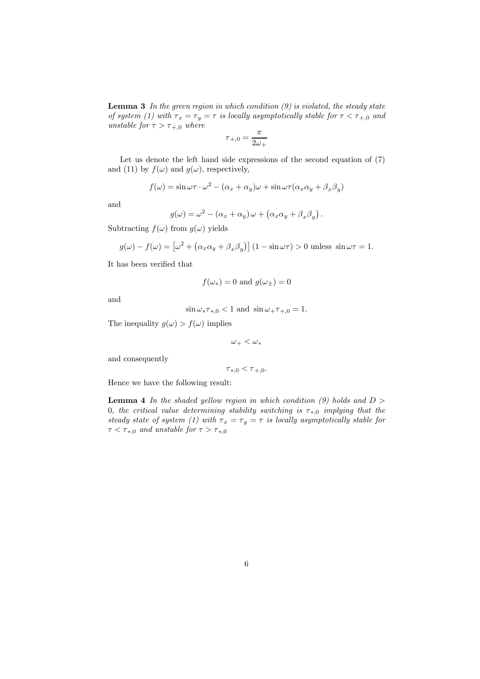**Lemma 3** In the green region in which condition  $(9)$  is violated, the steady state of system (1) with  $\tau_x = \tau_y = \tau$  is locally asymptotically stable for  $\tau < \tau_{+,0}$  and unstable for  $\tau > \tau_{+,0}$  where

$$
\tau_{+,0} = \frac{\pi}{2\omega_+}
$$

Let us denote the left hand side expressions of the second equation of (7) and (11) by  $f(\omega)$  and  $g(\omega)$ , respectively,

$$
f(\omega) = \sin \omega \tau \cdot \omega^2 - (\alpha_x + \alpha_y)\omega + \sin \omega \tau (\alpha_x \alpha_y + \beta_x \beta_y)
$$

and

$$
g(\omega) = \omega^2 - (\alpha_x + \alpha_y)\omega + (\alpha_x \alpha_y + \beta_x \beta_y).
$$

Subtracting  $f(\omega)$  from  $g(\omega)$  yields

$$
g(\omega) - f(\omega) = \left[\omega^2 + \left(\alpha_x \alpha_y + \beta_x \beta_y\right)\right] \left(1 - \sin \omega \tau\right) > 0 \text{ unless } \sin \omega \tau = 1.
$$

It has been verified that

$$
f(\omega_*) = 0 \text{ and } g(\omega_{\pm}) = 0
$$

and

$$
\sin \omega_* \tau_{*,0} < 1 \text{ and } \sin \omega_+ \tau_{+,0} = 1.
$$

The inequality  $g(\omega) > f(\omega)$  implies

 $\omega_+ < \omega_*$ 

and consequently

$$
\tau_{*,0} < \tau_{+,0}.
$$

Hence we have the following result:

**Lemma 4** In the shaded yellow region in which condition (9) holds and  $D >$ 0, the critical value determining stability switching is  $\tau_{*,0}$  implying that the steady state of system (1) with  $\tau_x = \tau_y = \tau$  is locally asymptotically stable for  $\tau < \tau_{*,0}$  and unstable for  $\tau > \tau_{*,0}$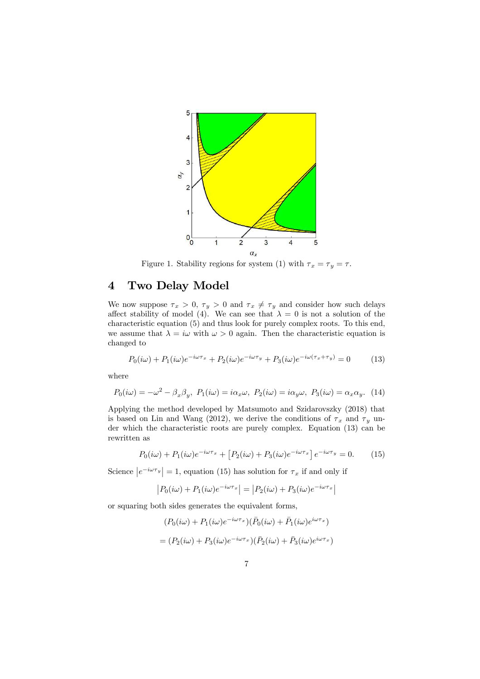

Figure 1. Stability regions for system (1) with  $\tau_x = \tau_y = \tau$ .

## 4 Two Delay Model

We now suppose  $\tau_x > 0$ ,  $\tau_y > 0$  and  $\tau_x \neq \tau_y$  and consider how such delays affect stability of model (4). We can see that  $\lambda = 0$  is not a solution of the characteristic equation (5) and thus look for purely complex roots. To this end, we assume that  $\lambda = i\omega$  with  $\omega > 0$  again. Then the characteristic equation is changed to

$$
P_0(i\omega) + P_1(i\omega)e^{-i\omega\tau_x} + P_2(i\omega)e^{-i\omega\tau_y} + P_3(i\omega)e^{-i\omega(\tau_x + \tau_y)} = 0 \tag{13}
$$

where

$$
P_0(i\omega) = -\omega^2 - \beta_x \beta_y, \ P_1(i\omega) = i\alpha_x \omega, \ P_2(i\omega) = i\alpha_y \omega, \ P_3(i\omega) = \alpha_x \alpha_y. \tag{14}
$$

Applying the method developed by Matsumoto and Szidarovszky (2018) that is based on Lin and Wang (2012), we derive the conditions of  $\tau_x$  and  $\tau_y$  under which the characteristic roots are purely complex. Equation (13) can be rewritten as

$$
P_0(i\omega) + P_1(i\omega)e^{-i\omega\tau_x} + \left[P_2(i\omega) + P_3(i\omega)e^{-i\omega\tau_x}\right]e^{-i\omega\tau_y} = 0.
$$
 (15)

Science  $|e^{-i\omega \tau_y}| = 1$ , equation (15) has solution for  $\tau_x$  if and only if

$$
|P_0(i\omega) + P_1(i\omega)e^{-i\omega\tau_x}| = |P_2(i\omega) + P_3(i\omega)e^{-i\omega\tau_x}|
$$

or squaring both sides generates the equivalent forms,

$$
(P_0(i\omega) + P_1(i\omega)e^{-i\omega\tau_x})(\bar{P}_0(i\omega) + \bar{P}_1(i\omega)e^{i\omega\tau_x})
$$

$$
= (P_2(i\omega) + P_3(i\omega)e^{-i\omega\tau_x})(\bar{P}_2(i\omega) + \bar{P}_3(i\omega)e^{i\omega\tau_x})
$$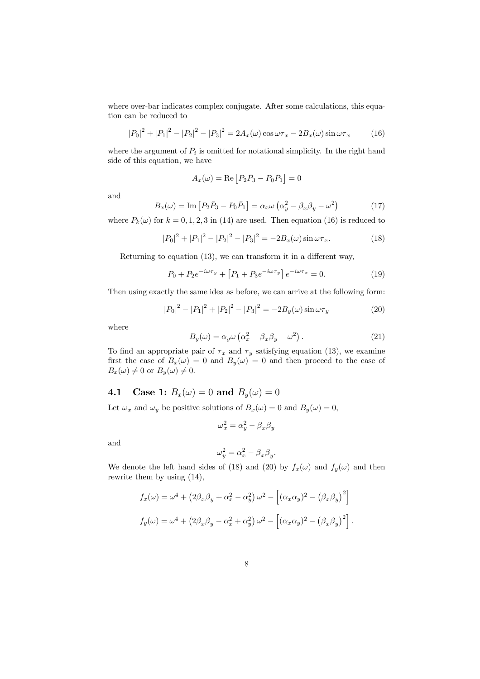where over-bar indicates complex conjugate. After some calculations, this equation can be reduced to

$$
|P_0|^2 + |P_1|^2 - |P_2|^2 - |P_3|^2 = 2A_x(\omega)\cos\omega\tau_x - 2B_x(\omega)\sin\omega\tau_x \tag{16}
$$

where the argument of  $P_i$  is omitted for notational simplicity. In the right hand side of this equation, we have

$$
A_x(\omega) = \text{Re}\left[P_2\overline{P}_3 - P_0\overline{P}_1\right] = 0
$$

and

$$
B_x(\omega) = \text{Im}\left[P_2\bar{P}_3 - P_0\bar{P}_1\right] = \alpha_x\omega\left(\alpha_y^2 - \beta_x\beta_y - \omega^2\right) \tag{17}
$$

where  $P_k(\omega)$  for  $k = 0, 1, 2, 3$  in (14) are used. Then equation (16) is reduced to

$$
|P_0|^2 + |P_1|^2 - |P_2|^2 - |P_3|^2 = -2B_x(\omega)\sin \omega \tau_x.
$$
 (18)

Returning to equation (13), we can transform it in a different way,

$$
P_0 + P_2 e^{-i\omega \tau_y} + [P_1 + P_3 e^{-i\omega \tau_y}] e^{-i\omega \tau_x} = 0.
$$
 (19)

Then using exactly the same idea as before, we can arrive at the following form:

$$
|P_0|^2 - |P_1|^2 + |P_2|^2 - |P_3|^2 = -2B_y(\omega)\sin \omega \tau_y \tag{20}
$$

.

where

$$
B_y(\omega) = \alpha_y \omega \left( \alpha_x^2 - \beta_x \beta_y - \omega^2 \right). \tag{21}
$$

To find an appropriate pair of  $\tau_x$  and  $\tau_y$  satisfying equation (13), we examine first the case of  $B_x(\omega) = 0$  and  $B_y(\omega) = 0$  and then proceed to the case of  $B_x(\omega) \neq 0$  or  $B_y(\omega) \neq 0$ .

## 4.1 Case 1:  $B_x(\omega) = 0$  and  $B_y(\omega) = 0$

Let  $\omega_x$  and  $\omega_y$  be positive solutions of  $B_x(\omega) = 0$  and  $B_y(\omega) = 0$ ,

$$
\omega_x^2 = \alpha_y^2 - \beta_x \beta_y
$$

and

$$
\omega_y^2 = \alpha_x^2 - \beta_x \beta_y
$$

We denote the left hand sides of (18) and (20) by  $f_x(\omega)$  and  $f_y(\omega)$  and then rewrite them by using (14),

$$
f_x(\omega) = \omega^4 + (2\beta_x \beta_y + \alpha_x^2 - \alpha_y^2) \omega^2 - \left[ (\alpha_x \alpha_y)^2 - (\beta_x \beta_y)^2 \right]
$$
  

$$
f_y(\omega) = \omega^4 + (2\beta_x \beta_y - \alpha_x^2 + \alpha_y^2) \omega^2 - \left[ (\alpha_x \alpha_y)^2 - (\beta_x \beta_y)^2 \right].
$$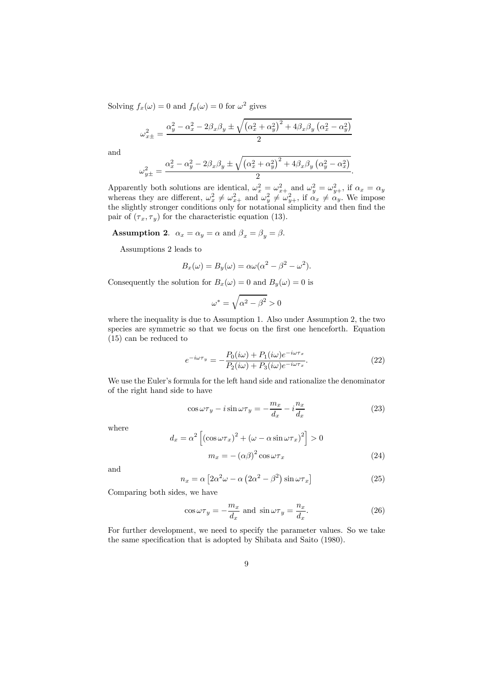Solving  $f_x(\omega) = 0$  and  $f_y(\omega) = 0$  for  $\omega^2$  gives

$$
\omega_{x\pm}^2 = \frac{\alpha_y^2 - \alpha_x^2 - 2\beta_x\beta_y \pm \sqrt{\left(\alpha_x^2 + \alpha_y^2\right)^2 + 4\beta_x\beta_y\left(\alpha_x^2 - \alpha_y^2\right)}}{2}
$$

and

$$
\omega_{y\pm}^2 = \frac{\alpha_x^2 - \alpha_y^2 - 2\beta_x\beta_y \pm \sqrt{\left(\alpha_x^2 + \alpha_y^2\right)^2 + 4\beta_x\beta_y\left(\alpha_y^2 - \alpha_x^2\right)}}{2}.
$$

Apparently both solutions are identical,  $\omega_x^2 = \omega_{x+}^2$  and  $\omega_y^2 = \omega_{y+}^2$ , if  $\alpha_x = \alpha_y$ whereas they are different,  $\omega_x^2 \neq \omega_{x+}^2$  and  $\omega_y^2 \neq \omega_{y+}^2$ , if  $\alpha_x \neq \alpha_y$ . We impose the slightly stronger conditions only for notational simplicity and then find the pair of  $(\tau_x, \tau_y)$  for the characteristic equation (13).

**Assumption 2.**  $\alpha_x = \alpha_y = \alpha$  and  $\beta_x = \beta_y = \beta$ .

Assumptions 2 leads to

$$
B_x(\omega) = B_y(\omega) = \alpha \omega (\alpha^2 - \beta^2 - \omega^2).
$$

Consequently the solution for  $B_x(\omega) = 0$  and  $B_y(\omega) = 0$  is

$$
\omega^*=\sqrt{\alpha^2-\beta^2}>0
$$

where the inequality is due to Assumption 1. Also under Assumption 2, the two species are symmetric so that we focus on the first one henceforth. Equation (15) can be reduced to

$$
e^{-i\omega\tau_y} = -\frac{P_0(i\omega) + P_1(i\omega)e^{-i\omega\tau_x}}{P_2(i\omega) + P_3(i\omega)e^{-i\omega\tau_x}}.
$$
\n(22)

We use the Euler's formula for the left hand side and rationalize the denominator of the right hand side to have

$$
\cos \omega \tau_y - i \sin \omega \tau_y = -\frac{m_x}{d_x} - i \frac{n_x}{d_x}
$$
\n(23)

where

$$
d_x = \alpha^2 \left[ \left( \cos \omega \tau_x \right)^2 + \left( \omega - \alpha \sin \omega \tau_x \right)^2 \right] > 0
$$

$$
m_x = - \left( \alpha \beta \right)^2 \cos \omega \tau_x \tag{24}
$$

and

$$
n_x = \alpha \left[ 2\alpha^2 \omega - \alpha \left( 2\alpha^2 - \beta^2 \right) \sin \omega \tau_x \right] \tag{25}
$$

Comparing both sides, we have

$$
\cos \omega \tau_y = -\frac{m_x}{d_x} \text{ and } \sin \omega \tau_y = \frac{n_x}{d_x}.\tag{26}
$$

For further development, we need to specify the parameter values. So we take the same specification that is adopted by Shibata and Saito (1980).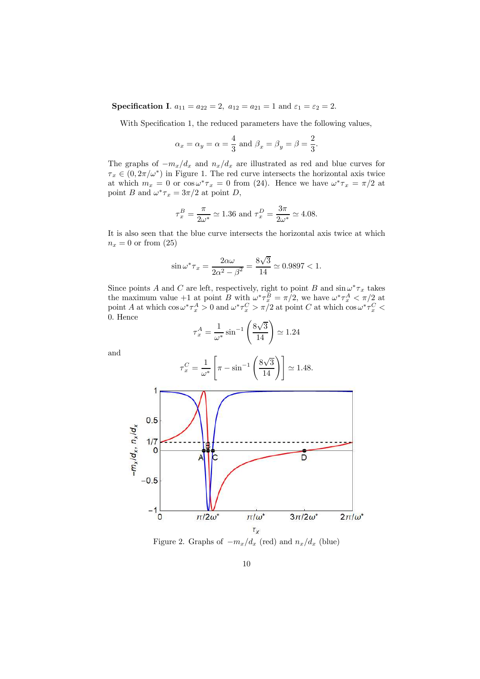**Specification I.**  $a_{11} = a_{22} = 2$ ,  $a_{12} = a_{21} = 1$  and  $\varepsilon_1 = \varepsilon_2 = 2$ .

With Specification 1, the reduced parameters have the following values,

$$
\alpha_x = \alpha_y = \alpha = \frac{4}{3}
$$
 and  $\beta_x = \beta_y = \beta = \frac{2}{3}$ .

The graphs of  $-m_x/d_x$  and  $n_x/d_x$  are illustrated as red and blue curves for  $\tau_x \in (0, 2\pi/\omega^*)$  in Figure 1. The red curve intersects the horizontal axis twice at which  $m_x = 0$  or  $\cos \omega^* \tau_x = 0$  from (24). Hence we have  $\omega^* \tau_x = \pi/2$  at point B and  $\omega^* \tau_x = 3\pi/2$  at point D,

$$
\tau_x^B = \frac{\pi}{2\omega^*} \simeq 1.36
$$
 and  $\tau_x^D = \frac{3\pi}{2\omega^*} \simeq 4.08$ .

It is also seen that the blue curve intersects the horizontal axis twice at which  $n_x = 0$  or from  $(25)$ 

$$
\sin \omega^* \tau_x = \frac{2\alpha \omega}{2\alpha^2 - \beta^2} = \frac{8\sqrt{3}}{14} \simeq 0.9897 < 1.
$$

Since points A and C are left, respectively, right to point B and  $\sin \omega^* \tau_x$  takes the maximum value +1 at point B with  $\omega^* \tau_x^B = \pi/2$ , we have  $\omega^* \tau_x^A < \pi/2$  at point A at which  $\cos \omega^* \tau_x^A > 0$  and  $\omega^* \tau_x^C > \pi/2$  at point C at which  $\cos \omega^* \tau_x^C <$ 0. Hence

$$
\tau_x^A = \frac{1}{\omega^*} \sin^{-1} \left( \frac{8\sqrt{3}}{14} \right) \simeq 1.24
$$

and

$$
\tau_x^C = \frac{1}{\omega^*} \left[ \pi - \sin^{-1} \left( \frac{8\sqrt{3}}{14} \right) \right] \simeq 1.48.
$$



Figure 2. Graphs of  $-m_x/d_x$  (red) and  $n_x/d_x$  (blue)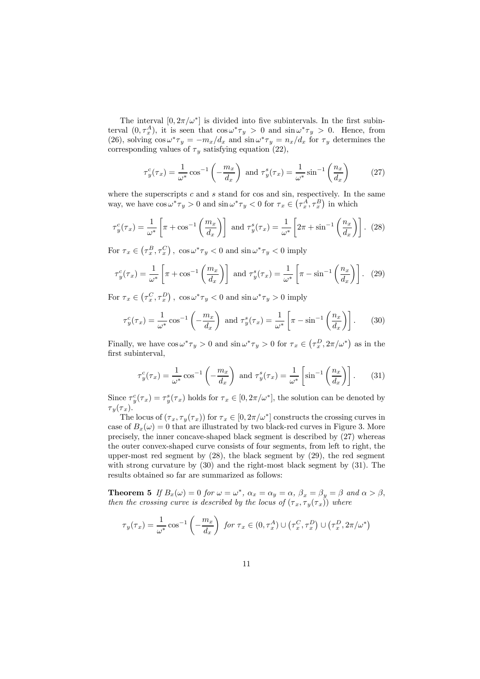The interval  $[0, 2\pi/\omega^*]$  is divided into five subintervals. In the first subinterval  $(0, \tau_x^A)$ , it is seen that  $\cos \omega^* \tau_y > 0$  and  $\sin \omega^* \tau_y > 0$ . Hence, from (26), solving  $\cos \omega^* \tau_y = -m_x/d_x$  and  $\sin \omega^* \tau_y = n_x/d_x$  for  $\tau_y$  determines the corresponding values of  $\tau_y$  satisfying equation (22),

$$
\tau_y^c(\tau_x) = \frac{1}{\omega^*} \cos^{-1} \left( -\frac{m_x}{d_x} \right) \text{ and } \tau_y^s(\tau_x) = \frac{1}{\omega^*} \sin^{-1} \left( \frac{n_x}{d_x} \right) \tag{27}
$$

where the superscripts  $c$  and  $s$  stand for cos and sin, respectively. In the same way, we have  $\cos \omega^* \tau_y > 0$  and  $\sin \omega^* \tau_y < 0$  for  $\tau_x \in (\tau_x^A, \tau_x^B)$  in which

$$
\tau_y^c(\tau_x) = \frac{1}{\omega^*} \left[ \pi + \cos^{-1} \left( \frac{m_x}{d_x} \right) \right] \text{ and } \tau_y^s(\tau_x) = \frac{1}{\omega^*} \left[ 2\pi + \sin^{-1} \left( \frac{n_x}{d_x} \right) \right]. \tag{28}
$$

For  $\tau_x \in (\tau_x^B, \tau_x^C)$ ,  $\cos \omega^* \tau_y < 0$  and  $\sin \omega^* \tau_y < 0$  imply

$$
\tau_y^c(\tau_x) = \frac{1}{\omega^*} \left[ \pi + \cos^{-1} \left( \frac{m_x}{d_x} \right) \right] \text{ and } \tau_y^s(\tau_x) = \frac{1}{\omega^*} \left[ \pi - \sin^{-1} \left( \frac{n_x}{d_x} \right) \right]. \tag{29}
$$

For  $\tau_x \in (\tau_x^C, \tau_x^D)$ ,  $\cos \omega^* \tau_y < 0$  and  $\sin \omega^* \tau_y > 0$  imply

$$
\tau_y^c(\tau_x) = \frac{1}{\omega^*} \cos^{-1} \left( -\frac{m_x}{d_x} \right) \text{ and } \tau_y^s(\tau_x) = \frac{1}{\omega^*} \left[ \pi - \sin^{-1} \left( \frac{n_x}{d_x} \right) \right]. \tag{30}
$$

Finally, we have  $\cos \omega^* \tau_y > 0$  and  $\sin \omega^* \tau_y > 0$  for  $\tau_x \in (\tau_x^D, 2\pi/\omega^*)$  as in the first subinterval,

$$
\tau_y^c(\tau_x) = \frac{1}{\omega^*} \cos^{-1} \left( -\frac{m_x}{d_x} \right) \text{ and } \tau_y^s(\tau_x) = \frac{1}{\omega^*} \left[ \sin^{-1} \left( \frac{n_x}{d_x} \right) \right]. \tag{31}
$$

Since  $\tau_y^c(\tau_x) = \tau_y^s(\tau_x)$  holds for  $\tau_x \in [0, 2\pi/\omega^*]$ , the solution can be denoted by  $\tau_y(\tau_x)$ .

The locus of  $(\tau_x, \tau_y(\tau_x))$  for  $\tau_x \in [0, 2\pi/\omega^*]$  constructs the crossing curves in case of  $B_x(\omega) = 0$  that are illustrated by two black-red curves in Figure 3. More precisely, the inner concave-shaped black segment is described by (27) whereas the outer convex-shaped curve consists of four segments, from left to right, the upper-most red segment by (28), the black segment by (29), the red segment with strong curvature by (30) and the right-most black segment by (31). The results obtained so far are summarized as follows:

**Theorem 5** If  $B_x(\omega) = 0$  for  $\omega = \omega^*$ ,  $\alpha_x = \alpha_y = \alpha$ ,  $\beta_x = \beta_y = \beta$  and  $\alpha > \beta$ , then the crossing curve is described by the locus of  $(\tau_x, \tau_y(\tau_x))$  where

$$
\tau_y(\tau_x) = \frac{1}{\omega^*} \cos^{-1} \left( -\frac{m_x}{d_x} \right) \text{ for } \tau_x \in (0, \tau_x^A) \cup (\tau_x^C, \tau_x^D) \cup (\tau_x^D, 2\pi/\omega^*)
$$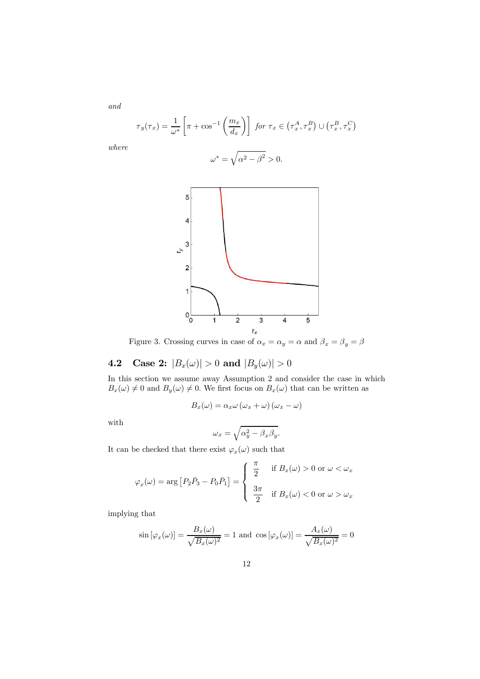$$
\tau_y(\tau_x) = \frac{1}{\omega^*} \left[ \pi + \cos^{-1} \left( \frac{m_x}{d_x} \right) \right] \text{ for } \tau_x \in (\tau_x^A, \tau_x^B) \cup (\tau_x^B, \tau_x^C)
$$

where

$$
\omega^* = \sqrt{\alpha^2 - \beta^2} > 0.
$$



Figure 3. Crossing curves in case of  $\alpha_x = \alpha_y = \alpha$  and  $\beta_x = \beta_y = \beta$ 

## **4.2** Case 2:  $|B_x(\omega)| > 0$  and  $|B_y(\omega)| > 0$

In this section we assume away Assumption 2 and consider the case in which  $B_x(\omega) \neq 0$  and  $B_y(\omega) \neq 0$ . We first focus on  $B_x(\omega)$  that can be written as

$$
B_x(\omega) = \alpha_x \omega (\omega_x + \omega) (\omega_x - \omega)
$$

with

$$
\omega_x = \sqrt{\alpha_y^2 - \beta_x \beta_y}.
$$

It can be checked that there exist  $\varphi_x(\omega)$  such that

$$
\varphi_x(\omega) = \arg \left[ P_2 \bar{P}_3 - P_0 \bar{P}_1 \right] = \begin{cases} \frac{\pi}{2} & \text{if } B_x(\omega) > 0 \text{ or } \omega < \omega_x \\ \frac{3\pi}{2} & \text{if } B_x(\omega) < 0 \text{ or } \omega > \omega_x \end{cases}
$$

implying that

$$
\sin\left[\varphi_x(\omega)\right] = \frac{B_x(\omega)}{\sqrt{B_x(\omega)^2}} = 1 \text{ and } \cos\left[\varphi_x(\omega)\right] = \frac{A_x(\omega)}{\sqrt{B_x(\omega)^2}} = 0
$$

12

and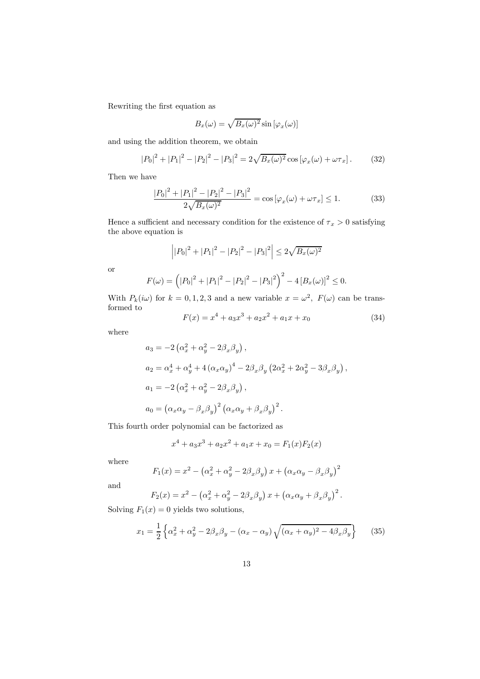Rewriting the first equation as

$$
B_x(\omega) = \sqrt{B_x(\omega)^2} \sin \left[\varphi_x(\omega)\right]
$$

and using the addition theorem, we obtain

$$
|P_0|^2 + |P_1|^2 - |P_2|^2 - |P_3|^2 = 2\sqrt{B_x(\omega)^2} \cos[\varphi_x(\omega) + \omega \tau_x]. \tag{32}
$$

Then we have

$$
\frac{|P_0|^2 + |P_1|^2 - |P_2|^2 - |P_3|^2}{2\sqrt{B_x(\omega)^2}} = \cos\left[\varphi_x(\omega) + \omega\tau_x\right] \le 1.
$$
 (33)

Hence a sufficient and necessary condition for the existence of  $\tau_x > 0$  satisfying the above equation is

$$
\left| |P_0|^2 + |P_1|^2 - |P_2|^2 - |P_3|^2 \right| \le 2\sqrt{B_x(\omega)^2}
$$

or

$$
F(\omega) = (|P_0|^2 + |P_1|^2 - |P_2|^2 - |P_3|^2)^2 - 4 [B_x(\omega)]^2 \le 0.
$$

With  $P_k(i\omega)$  for  $k = 0, 1, 2, 3$  and a new variable  $x = \omega^2$ ,  $F(\omega)$  can be transformed to

$$
F(x) = x4 + a3x3 + a2x2 + a1x + x0
$$
 (34)

where

$$
a_3 = -2\left(\alpha_x^2 + \alpha_y^2 - 2\beta_x\beta_y\right),
$$
  
\n
$$
a_2 = \alpha_x^4 + \alpha_y^4 + 4\left(\alpha_x\alpha_y\right)^4 - 2\beta_x\beta_y\left(2\alpha_x^2 + 2\alpha_y^2 - 3\beta_x\beta_y\right),
$$
  
\n
$$
a_1 = -2\left(\alpha_x^2 + \alpha_y^2 - 2\beta_x\beta_y\right),
$$
  
\n
$$
a_0 = \left(\alpha_x\alpha_y - \beta_x\beta_y\right)^2\left(\alpha_x\alpha_y + \beta_x\beta_y\right)^2.
$$

This fourth order polynomial can be factorized as

$$
x^{4} + a_{3}x^{3} + a_{2}x^{2} + a_{1}x + x_{0} = F_{1}(x)F_{2}(x)
$$

where

$$
F_1(x) = x^2 - (\alpha_x^2 + \alpha_y^2 - 2\beta_x\beta_y) x + (\alpha_x\alpha_y - \beta_x\beta_y)^2
$$

and

$$
F_2(x) = x^2 - \left(\alpha_x^2 + \alpha_y^2 - 2\beta_x \beta_y\right)x + \left(\alpha_x \alpha_y + \beta_x \beta_y\right)^2.
$$

Solving  $F_1(x) = 0$  yields two solutions,

$$
x_1 = \frac{1}{2} \left\{ \alpha_x^2 + \alpha_y^2 - 2\beta_x \beta_y - (\alpha_x - \alpha_y) \sqrt{(\alpha_x + \alpha_y)^2 - 4\beta_x \beta_y} \right\} \tag{35}
$$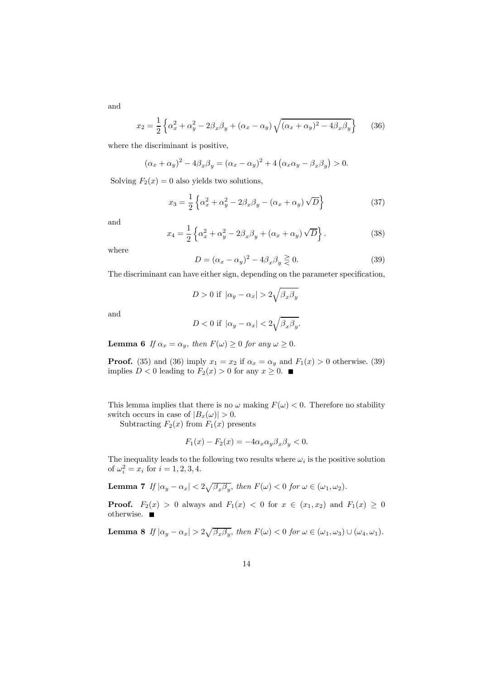$$
x_2 = \frac{1}{2} \left\{ \alpha_x^2 + \alpha_y^2 - 2\beta_x \beta_y + (\alpha_x - \alpha_y) \sqrt{(\alpha_x + \alpha_y)^2 - 4\beta_x \beta_y} \right\}
$$
 (36)

where the discriminant is positive,

$$
(\alpha_x + \alpha_y)^2 - 4\beta_x \beta_y = (\alpha_x - \alpha_y)^2 + 4(\alpha_x \alpha_y - \beta_x \beta_y) > 0.
$$

Solving  $F_2(x) = 0$  also yields two solutions,

$$
x_3 = \frac{1}{2} \left\{ \alpha_x^2 + \alpha_y^2 - 2\beta_x \beta_y - (\alpha_x + \alpha_y) \sqrt{D} \right\}
$$
 (37)

and

$$
x_4 = \frac{1}{2} \left\{ \alpha_x^2 + \alpha_y^2 - 2\beta_x \beta_y + (\alpha_x + \alpha_y) \sqrt{D} \right\}.
$$
 (38)

where

$$
D = (\alpha_x - \alpha_y)^2 - 4\beta_x \beta_y \geq 0. \tag{39}
$$

The discriminant can have either sign, depending on the parameter specification,

$$
D > 0 \text{ if } |\alpha_y - \alpha_x| > 2\sqrt{\beta_x \beta_y}
$$

and

$$
D < 0 \text{ if } |\alpha_y - \alpha_x| < 2\sqrt{\beta_x \beta_y}.
$$

**Lemma 6** If  $\alpha_x = \alpha_y$ , then  $F(\omega) \ge 0$  for any  $\omega \ge 0$ .

**Proof.** (35) and (36) imply  $x_1 = x_2$  if  $\alpha_x = \alpha_y$  and  $F_1(x) > 0$  otherwise. (39) implies  $D < 0$  leading to  $F_2(x) > 0$  for any  $x \ge 0$ .

This lemma implies that there is no  $\omega$  making  $F(\omega) < 0$ . Therefore no stability switch occurs in case of  $|B_x(\omega)| > 0$ .

Subtracting  $F_2(x)$  from  $F_1(x)$  presents

$$
F_1(x) - F_2(x) = -4\alpha_x \alpha_y \beta_x \beta_y < 0.
$$

The inequality leads to the following two results where  $\omega_i$  is the positive solution of  $\omega_i^2 = x_i$  for  $i = 1, 2, 3, 4$ .

**Lemma 7** If  $|\alpha_y - \alpha_x| < 2\sqrt{\beta_x \beta_y}$ , then  $F(\omega) < 0$  for  $\omega \in (\omega_1, \omega_2)$ .

**Proof.**  $F_2(x) > 0$  always and  $F_1(x) < 0$  for  $x \in (x_1, x_2)$  and  $F_1(x) \geq 0$ otherwise.

**Lemma 8** If  $|\alpha_y - \alpha_x| > 2\sqrt{\beta_x \beta_y}$ , then  $F(\omega) < 0$  for  $\omega \in (\omega_1, \omega_3) \cup (\omega_4, \omega_1)$ .

14

and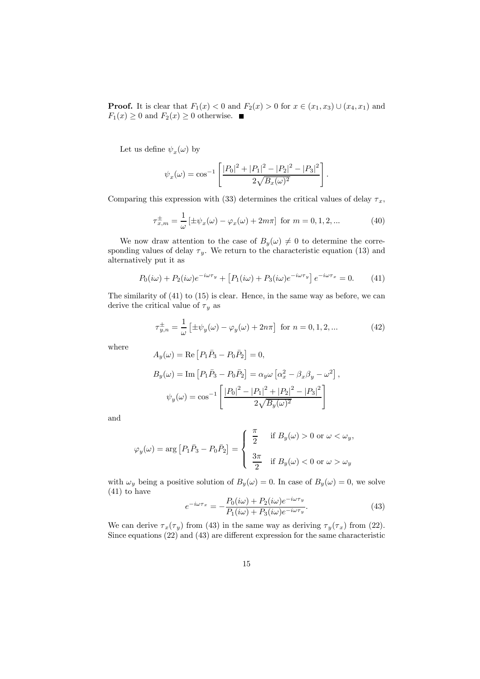**Proof.** It is clear that  $F_1(x) < 0$  and  $F_2(x) > 0$  for  $x \in (x_1, x_3) \cup (x_4, x_1)$  and  $F_1(x) \geq 0$  and  $F_2(x) \geq 0$  otherwise.

Let us define  $\psi_x(\omega)$  by

$$
\psi_x(\omega) = \cos^{-1}\left[\frac{|P_0|^2 + |P_1|^2 - |P_2|^2 - |P_3|^2}{2\sqrt{B_x(\omega)^2}}\right].
$$

Comparing this expression with (33) determines the critical values of delay  $\tau_x$ ,

$$
\tau_{x,m}^{\pm} = \frac{1}{\omega} \left[ \pm \psi_x(\omega) - \varphi_x(\omega) + 2m\pi \right] \text{ for } m = 0, 1, 2, \dots \tag{40}
$$

We now draw attention to the case of  $B_y(\omega) \neq 0$  to determine the corresponding values of delay  $\tau_y$ . We return to the characteristic equation (13) and alternatively put it as

$$
P_0(i\omega) + P_2(i\omega)e^{-i\omega\tau_y} + \left[ P_1(i\omega) + P_3(i\omega)e^{-i\omega\tau_y} \right] e^{-i\omega\tau_x} = 0. \tag{41}
$$

The similarity of (41) to (15) is clear. Hence, in the same way as before, we can derive the critical value of  $\tau_y$  as

$$
\tau_{y,n}^{\pm} = \frac{1}{\omega} \left[ \pm \psi_y(\omega) - \varphi_y(\omega) + 2n\pi \right] \text{ for } n = 0, 1, 2, \dots \tag{42}
$$

where

$$
A_y(\omega) = \text{Re}\left[P_1\bar{P}_3 - P_0\bar{P}_2\right] = 0,
$$
  
\n
$$
B_y(\omega) = \text{Im}\left[P_1\bar{P}_3 - P_0\bar{P}_2\right] = \alpha_y\omega\left[\alpha_x^2 - \beta_x\beta_y - \omega^2\right],
$$
  
\n
$$
\psi_y(\omega) = \cos^{-1}\left[\frac{|P_0|^2 - |P_1|^2 + |P_2|^2 - |P_3|^2}{2\sqrt{B_y(\omega)^2}}\right]
$$

and

$$
\varphi_y(\omega) = \arg \left[ P_1 \bar{P}_3 - P_0 \bar{P}_2 \right] = \left\{ \begin{array}{ll} \frac{\pi}{2} & \text{if } B_y(\omega) > 0 \text{ or } \omega < \omega_y, \\ \\ \frac{3\pi}{2} & \text{if } B_y(\omega) < 0 \text{ or } \omega > \omega_y \end{array} \right.
$$

with  $\omega_y$  being a positive solution of  $B_y(\omega) = 0$ . In case of  $B_y(\omega) = 0$ , we solve (41) to have

$$
e^{-i\omega\tau_x} = -\frac{P_0(i\omega) + P_2(i\omega)e^{-i\omega\tau_y}}{P_1(i\omega) + P_3(i\omega)e^{-i\omega\tau_y}}.\tag{43}
$$

We can derive  $\tau_x(\tau_y)$  from (43) in the same way as deriving  $\tau_y(\tau_x)$  from (22). Since equations (22) and (43) are different expression for the same characteristic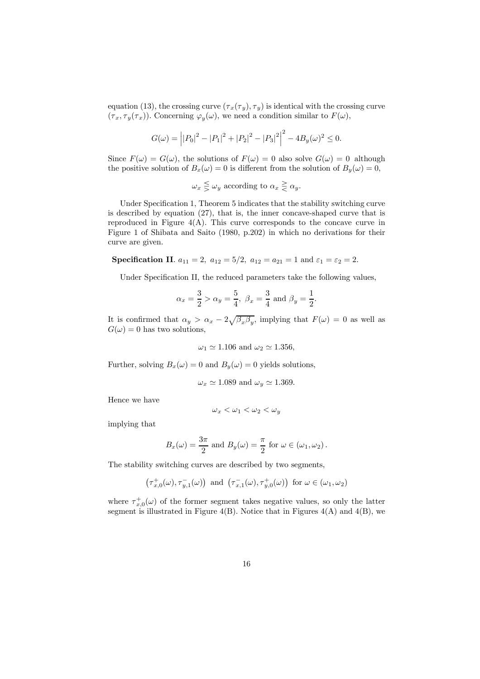equation (13), the crossing curve  $(\tau_x(\tau_y), \tau_y)$  is identical with the crossing curve  $(\tau_x, \tau_y(\tau_x))$ . Concerning  $\varphi_y(\omega)$ , we need a condition similar to  $F(\omega)$ ,

$$
G(\omega) = |P_0|^2 - |P_1|^2 + |P_2|^2 - |P_3|^2 - 4B_y(\omega)^2 \le 0.
$$

Since  $F(\omega) = G(\omega)$ , the solutions of  $F(\omega) = 0$  also solve  $G(\omega) = 0$  although the positive solution of  $B_x(\omega) = 0$  is different from the solution of  $B_y(\omega) = 0$ ,

 $\omega_x \leq \omega_y$  according to  $\alpha_x \geq \alpha_y$ .

Under Specification 1, Theorem 5 indicates that the stability switching curve is described by equation (27), that is, the inner concave-shaped curve that is reproduced in Figure  $4(A)$ . This curve corresponds to the concave curve in Figure 1 of Shibata and Saito (1980, p.202) in which no derivations for their curve are given.

Specification II.  $a_{11} = 2$ ,  $a_{12} = 5/2$ ,  $a_{12} = a_{21} = 1$  and  $\varepsilon_1 = \varepsilon_2 = 2$ .

Under Specification II, the reduced parameters take the following values,

$$
\alpha_x = \frac{3}{2} > \alpha_y = \frac{5}{4}, \ \beta_x = \frac{3}{4} \text{ and } \beta_y = \frac{1}{2}.
$$

It is confirmed that  $\alpha_y > \alpha_x - 2\sqrt{\beta_x \beta_y}$ , implying that  $F(\omega) = 0$  as well as  $G(\omega) = 0$  has two solutions,

$$
\omega_1 \simeq 1.106
$$
 and  $\omega_2 \simeq 1.356$ ,

Further, solving  $B_x(\omega) = 0$  and  $B_y(\omega) = 0$  yields solutions,

$$
\omega_x \simeq 1.089
$$
 and  $\omega_y \simeq 1.369$ .

Hence we have

$$
\omega_x<\omega_1<\omega_2<\omega_y
$$

implying that

$$
B_x(\omega) = \frac{3\pi}{2}
$$
 and  $B_y(\omega) = \frac{\pi}{2}$  for  $\omega \in (\omega_1, \omega_2)$ .

The stability switching curves are described by two segments,

$$
\left(\tau_{x,0}^+(\omega),\tau_{y,1}^-(\omega)\right)\text{ and }\left(\tau_{x,1}^-(\omega),\tau_{y,0}^+(\omega)\right)\text{ for }\omega\in(\omega_1,\omega_2)
$$

where  $\tau_{x,0}^{+}(\omega)$  of the former segment takes negative values, so only the latter segment is illustrated in Figure 4(B). Notice that in Figures  $4(A)$  and  $4(B)$ , we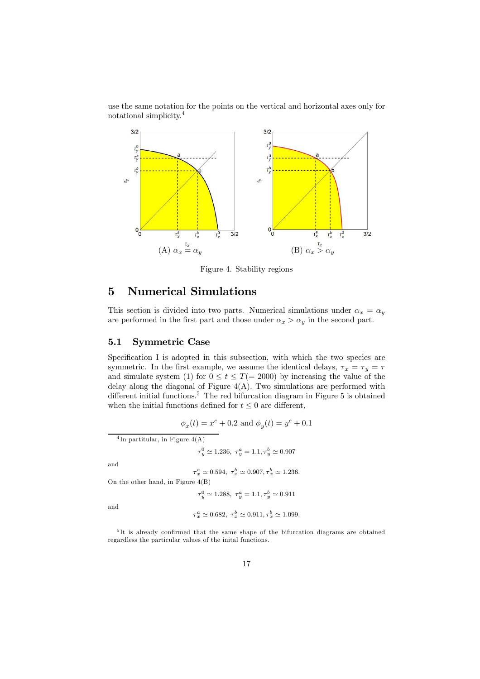use the same notation for the points on the vertical and horizontal axes only for notational simplicity.<sup>4</sup>



Figure 4. Stability regions

## 5 Numerical Simulations

This section is divided into two parts. Numerical simulations under  $\alpha_x = \alpha_y$ are performed in the first part and those under  $\alpha_x > \alpha_y$  in the second part.

### 5.1 Symmetric Case

Specification I is adopted in this subsection, with which the two species are symmetric. In the first example, we assume the identical delays,  $\tau_x = \tau_y = \tau$ and simulate system (1) for  $0 \le t \le T (= 2000)$  by increasing the value of the delay along the diagonal of Figure  $4(A)$ . Two simulations are performed with different initial functions.<sup>5</sup> The red bifurcation diagram in Figure 5 is obtained when the initial functions defined for  $t \leq 0$  are different,

$$
\phi_x(t) = x^e + 0.2
$$
 and  $\phi_y(t) = y^e + 0.1$ 

4 In partitular, in Figure 4(A)

$$
\tau_y^0 \simeq 1.236, \ \tau_y^a = 1.1, \tau_y^b \simeq 0.907
$$

and

$$
\tau_x^a \simeq 0.594, \ \tau_x^b \simeq 0.907, \tau_x^b \simeq 1.236.
$$

On the other hand, in Figure 4(B)

 $\tau_y^0 \simeq 1.288, \ \tau_y^a = 1.1, \tau_y^b \simeq 0.911$ 

and

$$
\tau_x^a \simeq 0.682, \ \tau_x^b \simeq 0.911, \tau_x^b \simeq 1.099.
$$

5 It is already confirmed that the same shape of the bifurcation diagrams are obtained regardless the particular values of the inital functions.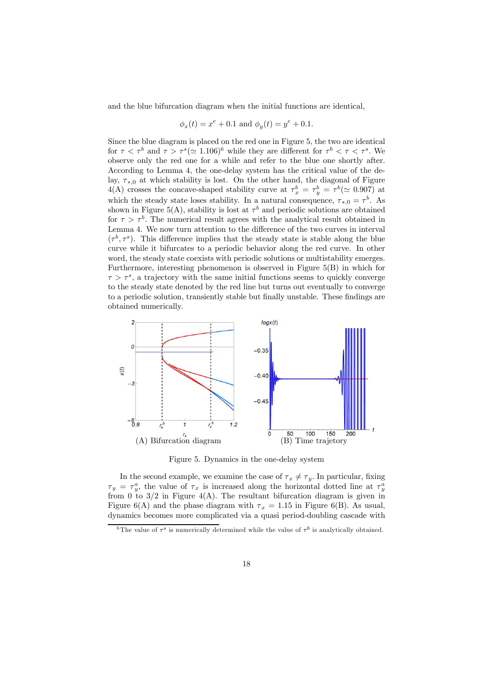and the blue bifurcation diagram when the initial functions are identical,

$$
\phi_x(t) = x^e + 0.1
$$
 and  $\phi_y(t) = y^e + 0.1$ .

Since the blue diagram is placed on the red one in Figure 5, the two are identical for  $\tau < \tau^b$  and  $\tau > \tau^s (\simeq 1.106)^6$  while they are different for  $\tau^b < \tau < \tau^s$ . We observe only the red one for a while and refer to the blue one shortly after. According to Lemma 4, the one-delay system has the critical value of the delay,  $\tau_{*,0}$  at which stability is lost. On the other hand, the diagonal of Figure 4(A) crosses the concave-shaped stability curve at  $\tau_x^b = \tau_y^b = \tau^b (\approx 0.907)$  at which the steady state loses stability. In a natural consequence,  $\tau_{*,0} = \tau^b$ . As shown in Figure 5(A), stability is lost at  $\tau^b$  and periodic solutions are obtained for  $\tau > \tau^b$ . The numerical result agrees with the analytical result obtained in Lemma 4. We now turn attention to the difference of the two curves in interval  $(\tau^b, \tau^s)$ . This difference implies that the steady state is stable along the blue curve while it bifurcates to a periodic behavior along the red curve. In other word, the steady state coexists with periodic solutions or multistability emerges. Furthermore, interesting phenomenon is observed in Figure 5(B) in which for  $\tau > \tau^s$ , a trajectory with the same initial functions seems to quickly converge to the steady state denoted by the red line but turns out eventually to converge to a periodic solution, transiently stable but finally unstable. These findings are obtained numerically.



Figure 5. Dynamics in the one-delay system

In the second example, we examine the case of  $\tau_x \neq \tau_y$ . In particular, fixing  $\tau_y = \tau_y^a$ , the value of  $\tau_x$  is increased along the horizontal dotted line at  $\tau_y^a$ from 0 to  $3/2$  in Figure 4(A). The resultant bifurcation diagram is given in Figure 6(A) and the phase diagram with  $\tau_x = 1.15$  in Figure 6(B). As usual, dynamics becomes more complicated via a quasi period-doubling cascade with

<sup>&</sup>lt;sup>6</sup>The value of  $\tau^s$  is numerically determined while the value of  $\tau^b$  is analytically obtained.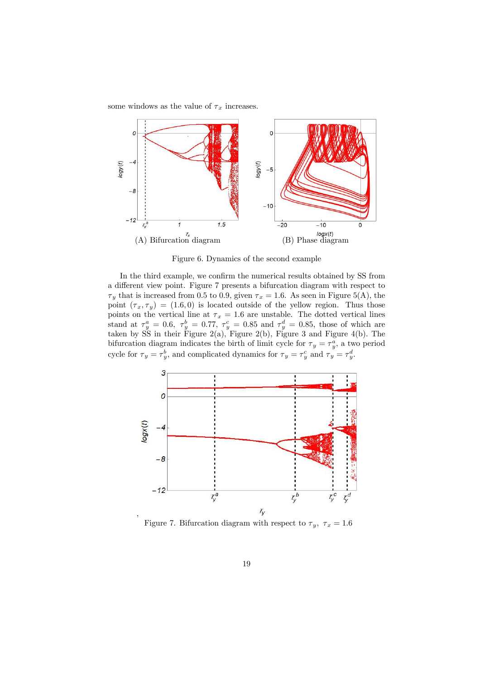some windows as the value of  $\tau_x$  increases.



Figure 6. Dynamics of the second example

In the third example, we confirm the numerical results obtained by SS from a different view point. Figure 7 presents a bifurcation diagram with respect to  $\tau_y$  that is increased from 0.5 to 0.9, given  $\tau_x = 1.6$ . As seen in Figure 5(A), the point  $(\tau_x, \tau_y) = (1.6, 0)$  is located outside of the yellow region. Thus those points on the vertical line at  $\tau_x = 1.6$  are unstable. The dotted vertical lines stand at  $\tau_y^a = 0.6$ ,  $\tau_y^b = 0.77$ ,  $\tau_y^c = 0.85$  and  $\tau_y^d = 0.85$ , those of which are taken by SS in their Figure 2(a), Figure 2(b), Figure 3 and Figure 4(b). The bifurcation diagram indicates the birth of limit cycle for  $\tau_y = \tau_y^a$ , a two period cycle for  $\tau_y = \tau_y^b$ , and complicated dynamics for  $\tau_y = \tau_y^c$  and  $\tau_y = \tau_y^d$ .



Figure 7. Bifurcation diagram with respect to  $\tau_y$ ,  $\tau_x = 1.6$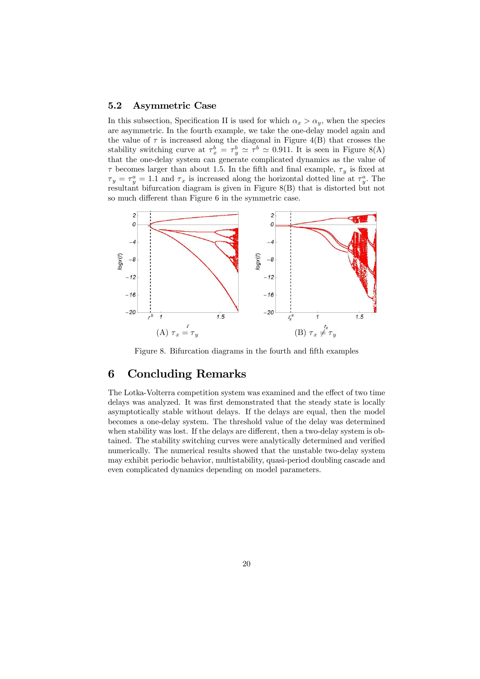### 5.2 Asymmetric Case

In this subsection, Specification II is used for which  $\alpha_x > \alpha_y$ , when the species are asymmetric. In the fourth example, we take the one-delay model again and the value of  $\tau$  is increased along the diagonal in Figure 4(B) that crosses the stability switching curve at  $\tau_x^b = \tau_y^b \simeq \tau^b \simeq 0.911$ . It is seen in Figure 8(A) that the one-delay system can generate complicated dynamics as the value of  $\tau$  becomes larger than about 1.5. In the fifth and final example,  $\tau_y$  is fixed at  $\tau_y = \tau_y^a = 1.1$  and  $\tau_x$  is increased along the horizontal dotted line at  $\tau_y^a$ . The resultant bifurcation diagram is given in Figure 8(B) that is distorted but not so much different than Figure 6 in the symmetric case.



Figure 8. Bifurcation diagrams in the fourth and fifth examples

## 6 Concluding Remarks

The Lotka-Volterra competition system was examined and the effect of two time delays was analyzed. It was first demonstrated that the steady state is locally asymptotically stable without delays. If the delays are equal, then the model becomes a one-delay system. The threshold value of the delay was determined when stability was lost. If the delays are different, then a two-delay system is obtained. The stability switching curves were analytically determined and verified numerically. The numerical results showed that the unstable two-delay system may exhibit periodic behavior, multistability, quasi-period doubling cascade and even complicated dynamics depending on model parameters.